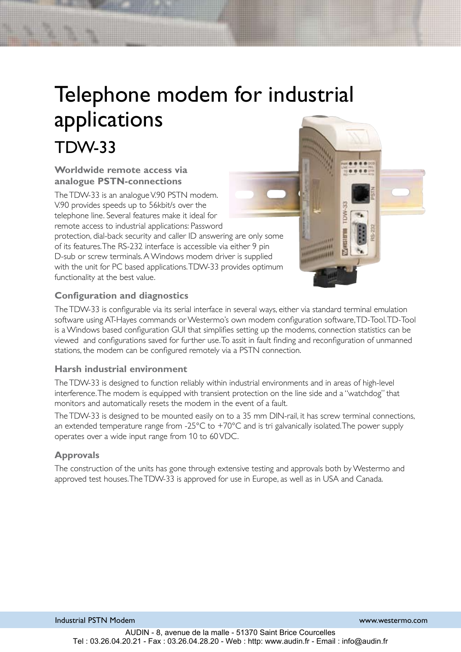# Telephone modem for industrial applications TDW-33

#### **Worldwide remote access via analogue PSTN-connections**

The TDW-33 is an analogue V.90 PSTN modem. V.90 provides speeds up to 56kbit/s over the telephone line. Several features make it ideal for remote access to industrial applications: Password protection, dial-back security and caller ID answering are only some of its features. The RS-232 interface is accessible via either 9 pin D-sub or screw terminals. A Windows modem driver is supplied with the unit for PC based applications. TDW-33 provides optimum functionality at the best value.



## **Configuration and diagnostics**

The TDW-33 is configurable via its serial interface in several ways, either via standard terminal emulation software using AT-Hayes commands or Westermo's own modem configuration software, TD-Tool. TD-Tool is a Windows based configuration GUI that simplifies setting up the modems, connection statistics can be viewed and configurations saved for further use. To assit in fault finding and reconfiguration of unmanned stations, the modem can be configured remotely via a PSTN connection.

### **Harsh industrial environment**

The TDW-33 is designed to function reliably within industrial environments and in areas of high-level interference. The modem is equipped with transient protection on the line side and a "watchdog" that monitors and automatically resets the modem in the event of a fault.

The TDW-33 is designed to be mounted easily on to a 35 mm DIN-rail, it has screw terminal connections, an extended temperature range from -25°C to +70°C and is tri galvanically isolated. The power supply operates over a wide input range from 10 to 60 VDC.

### **Approvals**

The construction of the units has gone through extensive testing and approvals both by Westermo and approved test houses. The TDW-33 is approved for use in Europe, as well as in USA and Canada.

Industrial PSTN Modem www.westermo.com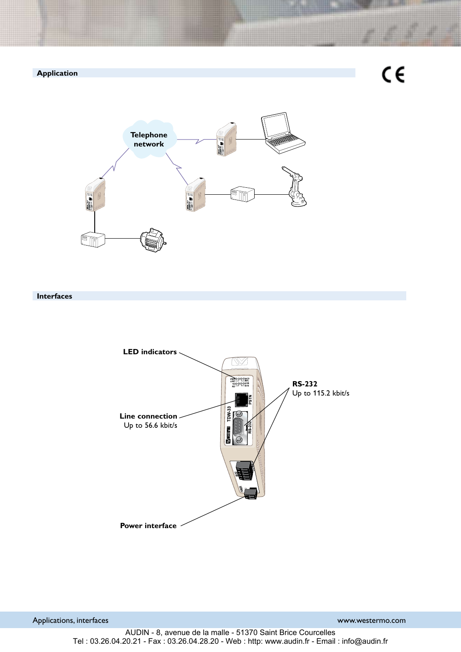

#### **Interfaces**



Applications, interfaces www.westermo.com

AUDIN - 8, avenue de la malle - 51370 Saint Brice Courcelles Tel : 03.26.04.20.21 - Fax : 03.26.04.28.20 - Web : http: www.audin.fr - Email : info@audin.fr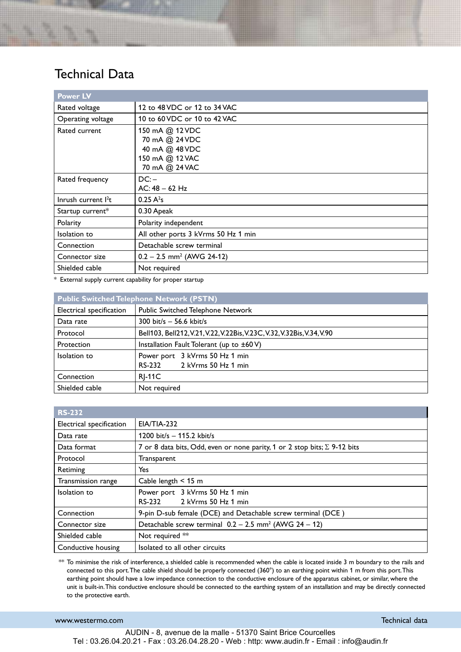# Technical Data

| <b>Power LV</b>               |                                                                                          |  |  |  |
|-------------------------------|------------------------------------------------------------------------------------------|--|--|--|
| Rated voltage                 | 12 to 48 VDC or 12 to 34 VAC                                                             |  |  |  |
| Operating voltage             | 10 to 60 VDC or 10 to 42 VAC                                                             |  |  |  |
| Rated current                 | 150 mA @ 12 VDC<br>70 mA @ 24 VDC<br>40 mA @ 48 VDC<br>150 mA @ 12 VAC<br>70 mA @ 24 VAC |  |  |  |
| Rated frequency               | DC:<br>$AC: 48 - 62 Hz$                                                                  |  |  |  |
| Inrush current <sup>2</sup> t | $0.25 A^2s$                                                                              |  |  |  |
| Startup current*              | 0.30 Apeak                                                                               |  |  |  |
| Polarity                      | Polarity independent                                                                     |  |  |  |
| Isolation to                  | All other ports 3 kVrms 50 Hz 1 min                                                      |  |  |  |
| Connection                    | Detachable screw terminal                                                                |  |  |  |
| Connector size                | $0.2 - 2.5$ mm <sup>2</sup> (AWG 24-12)                                                  |  |  |  |
| Shielded cable                | Not required                                                                             |  |  |  |

\* External supply current capability for proper startup

| <b>Public Switched Telephone Network (PSTN)</b> |                                                                         |  |  |  |
|-------------------------------------------------|-------------------------------------------------------------------------|--|--|--|
| Electrical specification                        | Public Switched Telephone Network                                       |  |  |  |
| Data rate                                       | 300 bit/s $-$ 56.6 kbit/s                                               |  |  |  |
| Protocol                                        | Bell103, Bell212, V.21, V.22, V.22Bis, V.23C, V.32, V.32Bis, V.34, V.90 |  |  |  |
| Protection                                      | Installation Fault Tolerant (up to $\pm 60 \text{ V}$ )                 |  |  |  |
| Isolation to                                    | Power port 3 kVrms 50 Hz 1 min                                          |  |  |  |
|                                                 | RS-232 2 kVrms 50 Hz 1 min                                              |  |  |  |
| Connection                                      | <b>RI-11C</b>                                                           |  |  |  |
| Shielded cable                                  | Not required                                                            |  |  |  |

| <b>RS-232</b>            |                                                                                  |  |  |  |  |
|--------------------------|----------------------------------------------------------------------------------|--|--|--|--|
| Electrical specification | <b>EIA/TIA-232</b>                                                               |  |  |  |  |
| Data rate                | 1200 bit/s $-$ 115.2 kbit/s                                                      |  |  |  |  |
| Data format              | 7 or 8 data bits, Odd, even or none parity, 1 or 2 stop bits; $\Sigma$ 9-12 bits |  |  |  |  |
| Protocol                 | Transparent                                                                      |  |  |  |  |
| Retiming                 | Yes                                                                              |  |  |  |  |
| Transmission range       | Cable length $\leq 15$ m                                                         |  |  |  |  |
| Isolation to             | Power port 3 kVrms 50 Hz 1 min                                                   |  |  |  |  |
|                          | RS-232 2 kVrms 50 Hz 1 min                                                       |  |  |  |  |
| Connection               | 9-pin D-sub female (DCE) and Detachable screw terminal (DCE)                     |  |  |  |  |
| Connector size           | Detachable screw terminal $0.2 - 2.5$ mm <sup>2</sup> (AWG $24 - 12$ )           |  |  |  |  |
| Shielded cable           | Not required **                                                                  |  |  |  |  |
| Conductive housing       | Isolated to all other circuits                                                   |  |  |  |  |

\*\* To minimise the risk of interference, a shielded cable is recommended when the cable is located inside 3 m boundary to the rails and connected to this port. The cable shield should be properly connected (360°) to an earthing point within 1 m from this port. This earthing point should have a low impedance connection to the conductive enclosure of the apparatus cabinet, or similar, where the unit is built-in. This conductive enclosure should be connected to the earthing system of an installation and may be directly connected to the protective earth.

#### www.westermo.com and the community of the community of the community of the community of the community of the community of the community of the community of the community of the community of the community of the community